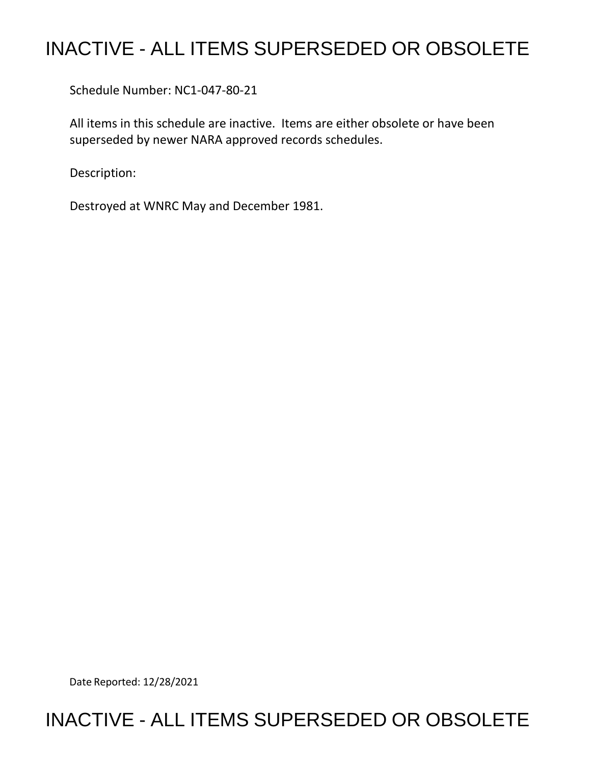## INACTIVE - ALL ITEMS SUPERSEDED OR OBSOLETE

Schedule Number: NC1-047-80-21

 All items in this schedule are inactive. Items are either obsolete or have been superseded by newer NARA approved records schedules.

Description:

Destroyed at WNRC May and December 1981.

Date Reported: 12/28/2021

## INACTIVE - ALL ITEMS SUPERSEDED OR OBSOLETE